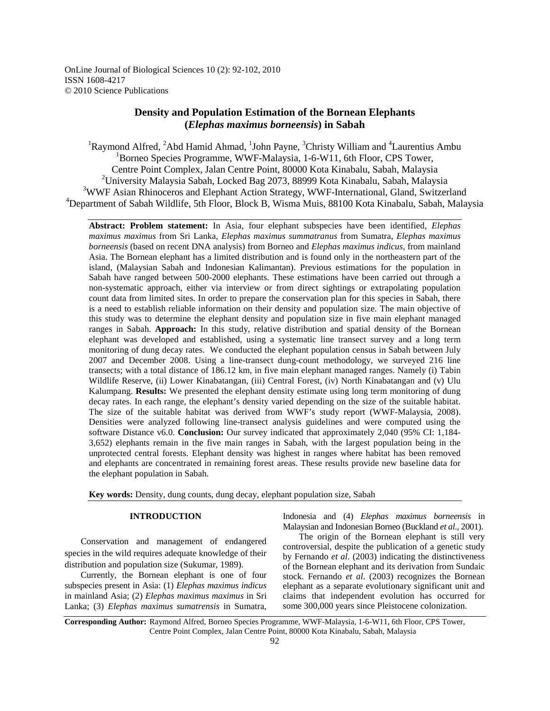OnLine Journal of Biological Sciences 10 (2): 92-102, 2010 ISSN 1608-4217 © 2010 Science Publications

# **Density and Population Estimation of the Bornean Elephants (***Elephas maximus borneensis***) in Sabah**

<sup>1</sup>Raymond Alfred, <sup>2</sup>Abd Hamid Ahmad, <sup>1</sup>John Payne, <sup>3</sup>Christy William and <sup>4</sup>Laurentius Ambu <sup>1</sup>Borneo Species Programme, WWF-Malaysia, 1-6-W11, 6th Floor, CPS Tower, Centre Point Complex, Jalan Centre Point, 80000 Kota Kinabalu, Sabah, Malaysia <sup>2</sup>University Malaysia Sabah, Locked Bag 2073, 88999 Kota Kinabalu, Sabah, Malaysia <sup>3</sup>WWF Asian Rhinoceros and Elephant Action Strategy, WWF-International, Gland, Switzerland <sup>4</sup>Department of Sabah Wildlife, 5th Floor, Block B, Wisma Muis, 88100 Kota Kinabalu, Sabah, Malaysia

**Abstract: Problem statement:** In Asia, four elephant subspecies have been identified, *Elephas maximus maximus* from Sri Lanka, *Elephas maximus summatranus* from Sumatra, *Elephas maximus borneensis* (based on recent DNA analysis) from Borneo and *Elephas maximus indicus*, from mainland Asia. The Bornean elephant has a limited distribution and is found only in the northeastern part of the island, (Malaysian Sabah and Indonesian Kalimantan). Previous estimations for the population in Sabah have ranged between 500-2000 elephants. These estimations have been carried out through a non-systematic approach, either via interview or from direct sightings or extrapolating population count data from limited sites. In order to prepare the conservation plan for this species in Sabah, there is a need to establish reliable information on their density and population size. The main objective of this study was to determine the elephant density and population size in five main elephant managed ranges in Sabah. **Approach:** In this study, relative distribution and spatial density of the Bornean elephant was developed and established, using a systematic line transect survey and a long term monitoring of dung decay rates. We conducted the elephant population census in Sabah between July 2007 and December 2008. Using a line-transect dung-count methodology, we surveyed 216 line transects; with a total distance of 186.12 km, in five main elephant managed ranges. Namely (i) Tabin Wildlife Reserve, (ii) Lower Kinabatangan, (iii) Central Forest, (iv) North Kinabatangan and (v) Ulu Kalumpang. **Results:** We presented the elephant density estimate using long term monitoring of dung decay rates. In each range, the elephant's density varied depending on the size of the suitable habitat. The size of the suitable habitat was derived from WWF's study report (WWF-Malaysia, 2008). Densities were analyzed following line-transect analysis guidelines and were computed using the software Distance v6.0. **Conclusion:** Our survey indicated that approximately 2,040 (95% CI: 1,184- 3,652) elephants remain in the five main ranges in Sabah, with the largest population being in the unprotected central forests. Elephant density was highest in ranges where habitat has been removed and elephants are concentrated in remaining forest areas. These results provide new baseline data for the elephant population in Sabah.

**Key words:** Density, dung counts, dung decay, elephant population size, Sabah

# **INTRODUCTION**

 Conservation and management of endangered species in the wild requires adequate knowledge of their distribution and population size (Sukumar, 1989).

 Currently, the Bornean elephant is one of four subspecies present in Asia: (1) *Elephas maximus indicus* in mainland Asia; (2) *Elephas maximus maximus* in Sri Lanka; (3) *Elephas maximus sumatrensis* in Sumatra,

Indonesia and (4) *Elephas maximus borneensis* in Malaysian and Indonesian Borneo (Buckland *et al*., 2001).

The origin of the Bornean elephant is still very controversial, despite the publication of a genetic study by Fernando *et al*. (2003) indicating the distinctiveness of the Bornean elephant and its derivation from Sundaic stock. Fernando *et al*. (2003) recognizes the Bornean elephant as a separate evolutionary significant unit and claims that independent evolution has occurred for some 300,000 years since Pleistocene colonization.

**Corresponding Author:** Raymond Alfred, Borneo Species Programme, WWF-Malaysia, 1-6-W11, 6th Floor, CPS Tower, Centre Point Complex, Jalan Centre Point, 80000 Kota Kinabalu, Sabah, Malaysia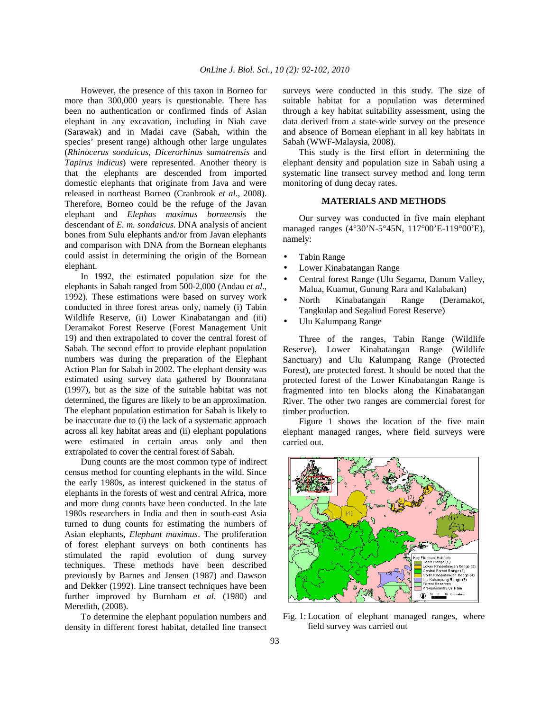However, the presence of this taxon in Borneo for more than 300,000 years is questionable. There has been no authentication or confirmed finds of Asian elephant in any excavation, including in Niah cave (Sarawak) and in Madai cave (Sabah, within the species' present range) although other large ungulates (*Rhinocerus sondaicus*, *Dicerorhinus sumatrensis* and *Tapirus indicus*) were represented. Another theory is that the elephants are descended from imported domestic elephants that originate from Java and were released in northeast Borneo (Cranbrook *et al*., 2008). Therefore, Borneo could be the refuge of the Javan elephant and *Elephas maximus borneensis* the descendant of *E. m. sondaicus*. DNA analysis of ancient bones from Sulu elephants and/or from Javan elephants and comparison with DNA from the Bornean elephants could assist in determining the origin of the Bornean elephant.

 In 1992, the estimated population size for the elephants in Sabah ranged from 500-2,000 (Andau *et al*., 1992). These estimations were based on survey work conducted in three forest areas only, namely (i) Tabin Wildlife Reserve, (ii) Lower Kinabatangan and (iii) Deramakot Forest Reserve (Forest Management Unit 19) and then extrapolated to cover the central forest of Sabah. The second effort to provide elephant population numbers was during the preparation of the Elephant Action Plan for Sabah in 2002. The elephant density was estimated using survey data gathered by Boonratana (1997), but as the size of the suitable habitat was not determined, the figures are likely to be an approximation. The elephant population estimation for Sabah is likely to be inaccurate due to (i) the lack of a systematic approach across all key habitat areas and (ii) elephant populations were estimated in certain areas only and then extrapolated to cover the central forest of Sabah.

 Dung counts are the most common type of indirect census method for counting elephants in the wild. Since the early 1980s, as interest quickened in the status of elephants in the forests of west and central Africa, more and more dung counts have been conducted. In the late 1980s researchers in India and then in south-east Asia turned to dung counts for estimating the numbers of Asian elephants, *Elephant maximus*. The proliferation of forest elephant surveys on both continents has stimulated the rapid evolution of dung survey techniques. These methods have been described previously by Barnes and Jensen (1987) and Dawson and Dekker (1992). Line transect techniques have been further improved by Burnham *et al*. (1980) and Meredith, (2008).

 To determine the elephant population numbers and density in different forest habitat, detailed line transect surveys were conducted in this study. The size of suitable habitat for a population was determined through a key habitat suitability assessment, using the data derived from a state-wide survey on the presence and absence of Bornean elephant in all key habitats in Sabah (WWF-Malaysia, 2008).

 This study is the first effort in determining the elephant density and population size in Sabah using a systematic line transect survey method and long term monitoring of dung decay rates.

## **MATERIALS AND METHODS**

 Our survey was conducted in five main elephant managed ranges (4°30'N-5°45N, 117°00'E-119°00'E), namely:

- Tabin Range
- Lower Kinabatangan Range
- Central forest Range (Ulu Segama, Danum Valley, Malua, Kuamut, Gunung Rara and Kalabakan)
- North Kinabatangan Range (Deramakot, Tangkulap and Segaliud Forest Reserve)
- Ulu Kalumpang Range

 Three of the ranges, Tabin Range (Wildlife Reserve), Lower Kinabatangan Range (Wildlife Sanctuary) and Ulu Kalumpang Range (Protected Forest), are protected forest. It should be noted that the protected forest of the Lower Kinabatangan Range is fragmented into ten blocks along the Kinabatangan River. The other two ranges are commercial forest for timber production.

 Figure 1 shows the location of the five main elephant managed ranges, where field surveys were carried out.



Fig. 1: Location of elephant managed ranges, where field survey was carried out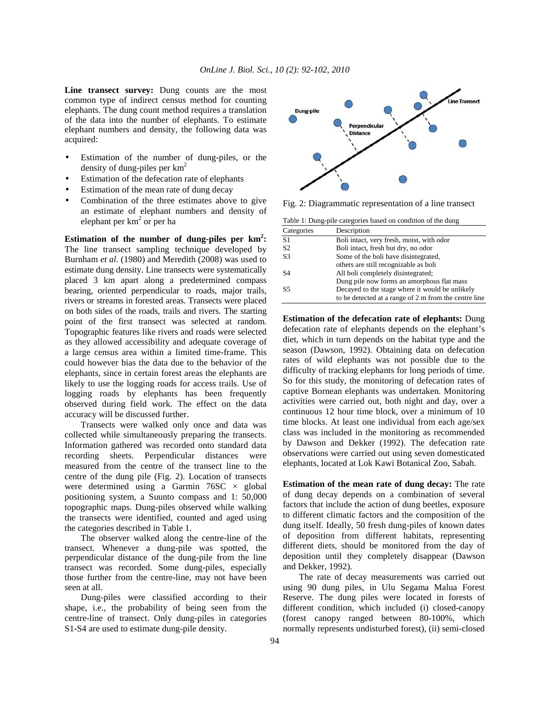Line transect survey: Dung counts are the most common type of indirect census method for counting elephants. The dung count method requires a translation of the data into the number of elephants. To estimate elephant numbers and density, the following data was acquired:

- Estimation of the number of dung-piles, or the density of dung-piles per  $km<sup>2</sup>$
- Estimation of the defecation rate of elephants
- Estimation of the mean rate of dung decay
- Combination of the three estimates above to give an estimate of elephant numbers and density of elephant per km<sup>2</sup> or per ha

**Estimation of the number of dung-piles per km<sup>2</sup> :**  The line transect sampling technique developed by Burnham *et al*. (1980) and Meredith (2008) was used to estimate dung density. Line transects were systematically placed 3 km apart along a predetermined compass bearing, oriented perpendicular to roads, major trails, rivers or streams in forested areas. Transects were placed on both sides of the roads, trails and rivers. The starting point of the first transect was selected at random. Topographic features like rivers and roads were selected as they allowed accessibility and adequate coverage of a large census area within a limited time-frame. This could however bias the data due to the behavior of the elephants, since in certain forest areas the elephants are likely to use the logging roads for access trails. Use of logging roads by elephants has been frequently observed during field work. The effect on the data accuracy will be discussed further.

 Transects were walked only once and data was collected while simultaneously preparing the transects. Information gathered was recorded onto standard data recording sheets. Perpendicular distances were measured from the centre of the transect line to the centre of the dung pile (Fig. 2). Location of transects were determined using a Garmin  $76SC \times$  global positioning system, a Suunto compass and 1: 50,000 topographic maps. Dung-piles observed while walking the transects were identified, counted and aged using the categories described in Table 1.

 The observer walked along the centre-line of the transect. Whenever a dung-pile was spotted, the perpendicular distance of the dung-pile from the line transect was recorded. Some dung-piles, especially those further from the centre-line, may not have been seen at all.

 Dung-piles were classified according to their shape, i.e., the probability of being seen from the centre-line of transect. Only dung-piles in categories S1-S4 are used to estimate dung-pile density.



Fig. 2: Diagrammatic representation of a line transect

| Table 1: Dung-pile categories based on condition of the dung |                                                       |  |  |  |  |
|--------------------------------------------------------------|-------------------------------------------------------|--|--|--|--|
| Categories                                                   | Description                                           |  |  |  |  |
| S1                                                           | Boli intact, very fresh, moist, with odor             |  |  |  |  |
| S <sub>2</sub>                                               | Boli intact, fresh but dry, no odor                   |  |  |  |  |
| S <sub>3</sub>                                               | Some of the boli have disintegrated,                  |  |  |  |  |
|                                                              | others are still recognizable as boli                 |  |  |  |  |
| S4                                                           | All boli completely disintegrated;                    |  |  |  |  |
|                                                              | Dung pile now forms an amorphous flat mass            |  |  |  |  |
| S5                                                           | Decayed to the stage where it would be unlikely       |  |  |  |  |
|                                                              | to be detected at a range of 2 m from the centre line |  |  |  |  |

**Estimation of the defecation rate of elephants:** Dung defecation rate of elephants depends on the elephant's diet, which in turn depends on the habitat type and the season (Dawson, 1992). Obtaining data on defecation rates of wild elephants was not possible due to the difficulty of tracking elephants for long periods of time. So for this study, the monitoring of defecation rates of captive Bornean elephants was undertaken. Monitoring activities were carried out, both night and day, over a continuous 12 hour time block, over a minimum of 10 time blocks. At least one individual from each age/sex class was included in the monitoring as recommended by Dawson and Dekker (1992). The defecation rate observations were carried out using seven domesticated elephants, located at Lok Kawi Botanical Zoo, Sabah.

**Estimation of the mean rate of dung decay:** The rate of dung decay depends on a combination of several factors that include the action of dung beetles, exposure to different climatic factors and the composition of the dung itself. Ideally, 50 fresh dung-piles of known dates of deposition from different habitats, representing different diets, should be monitored from the day of deposition until they completely disappear (Dawson and Dekker, 1992).

 The rate of decay measurements was carried out using 90 dung piles, in Ulu Segama Malua Forest Reserve. The dung piles were located in forests of different condition, which included (i) closed-canopy (forest canopy ranged between 80-100%, which normally represents undisturbed forest), (ii) semi-closed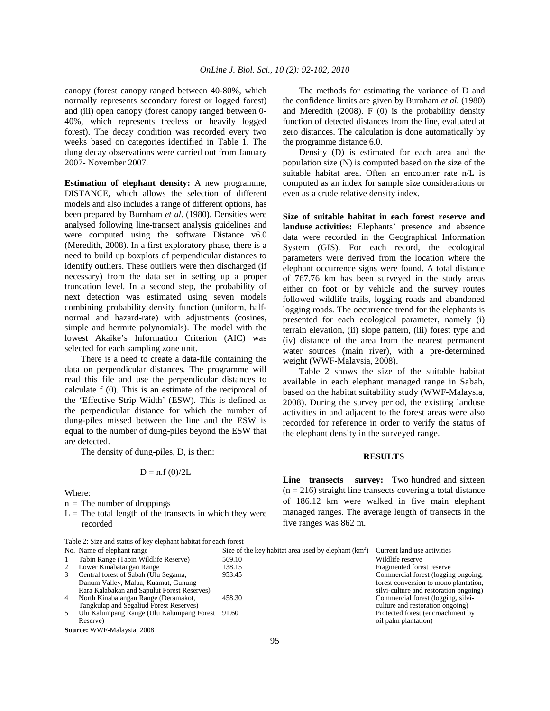canopy (forest canopy ranged between 40-80%, which normally represents secondary forest or logged forest) and (iii) open canopy (forest canopy ranged between 0- 40%, which represents treeless or heavily logged forest). The decay condition was recorded every two weeks based on categories identified in Table 1. The dung decay observations were carried out from January 2007- November 2007.

**Estimation of elephant density:** A new programme, DISTANCE, which allows the selection of different models and also includes a range of different options, has been prepared by Burnham *et al*. (1980). Densities were analysed following line-transect analysis guidelines and were computed using the software Distance v6.0 (Meredith, 2008). In a first exploratory phase, there is a need to build up boxplots of perpendicular distances to identify outliers. These outliers were then discharged (if necessary) from the data set in setting up a proper truncation level. In a second step, the probability of next detection was estimated using seven models combining probability density function (uniform, halfnormal and hazard-rate) with adjustments (cosines, simple and hermite polynomials). The model with the lowest Akaike's Information Criterion (AIC) was selected for each sampling zone unit.

 There is a need to create a data-file containing the data on perpendicular distances. The programme will read this file and use the perpendicular distances to calculate f (0). This is an estimate of the reciprocal of the 'Effective Strip Width' (ESW). This is defined as the perpendicular distance for which the number of dung-piles missed between the line and the ESW is equal to the number of dung-piles beyond the ESW that are detected.

The density of dung-piles, D, is then:

$$
D = n.f(0)/2L
$$

Where:

- $n =$ The number of droppings
- $L =$  The total length of the transects in which they were recorded

|  | Table 2: Size and status of key elephant habitat for each forest |
|--|------------------------------------------------------------------|
|--|------------------------------------------------------------------|

 The methods for estimating the variance of D and the confidence limits are given by Burnham *et al*. (1980) and Meredith  $(2008)$ . F  $(0)$  is the probability density function of detected distances from the line, evaluated at zero distances. The calculation is done automatically by the programme distance 6.0.

 Density (D) is estimated for each area and the population size (N) is computed based on the size of the suitable habitat area. Often an encounter rate n/L is computed as an index for sample size considerations or even as a crude relative density index.

**Size of suitable habitat in each forest reserve and landuse activities:** Elephants' presence and absence data were recorded in the Geographical Information System (GIS). For each record, the ecological parameters were derived from the location where the elephant occurrence signs were found. A total distance of 767.76 km has been surveyed in the study areas either on foot or by vehicle and the survey routes followed wildlife trails, logging roads and abandoned logging roads. The occurrence trend for the elephants is presented for each ecological parameter, namely (i) terrain elevation, (ii) slope pattern, (iii) forest type and (iv) distance of the area from the nearest permanent water sources (main river), with a pre-determined weight (WWF-Malaysia, 2008).

 Table 2 shows the size of the suitable habitat available in each elephant managed range in Sabah, based on the habitat suitability study (WWF-Malaysia, 2008). During the survey period, the existing landuse activities in and adjacent to the forest areas were also recorded for reference in order to verify the status of the elephant density in the surveyed range.

# **RESULTS**

Line transects survey: Two hundred and sixteen  $(n = 216)$  straight line transects covering a total distance of 186.12 km were walked in five main elephant managed ranges. The average length of transects in the five ranges was 862 m.

|                | No. Name of elephant range                      | Size of the key habitat area used by elephant $(km^2)$ | Current land use activities            |
|----------------|-------------------------------------------------|--------------------------------------------------------|----------------------------------------|
|                | Tabin Range (Tabin Wildlife Reserve)            | 569.10                                                 | Wildlife reserve                       |
| 2              | Lower Kinabatangan Range                        | 138.15                                                 | Fragmented forest reserve              |
| 3.             | Central forest of Sabah (Ulu Segama,            | 953.45                                                 | Commercial forest (logging ongoing,    |
|                | Danum Valley, Malua, Kuamut, Gunung             |                                                        | forest conversion to mono plantation,  |
|                | Rara Kalabakan and Sapulut Forest Reserves)     |                                                        | silvi-culture and restoration ongoing) |
| $\overline{4}$ | North Kinabatangan Range (Deramakot,            | 458.30                                                 | Commercial forest (logging, silvi-     |
|                | Tangkulap and Segaliud Forest Reserves)         |                                                        | culture and restoration ongoing)       |
| .5             | Ulu Kalumpang Range (Ulu Kalumpang Forest 91.60 |                                                        | Protected forest (encroachment by      |
|                | Reserve)                                        |                                                        | oil palm plantation)                   |
|                | $C_{2}$ = $\ldots$ WWWF M.1 0000                |                                                        |                                        |

**Source:** WWF-Malaysia, 2008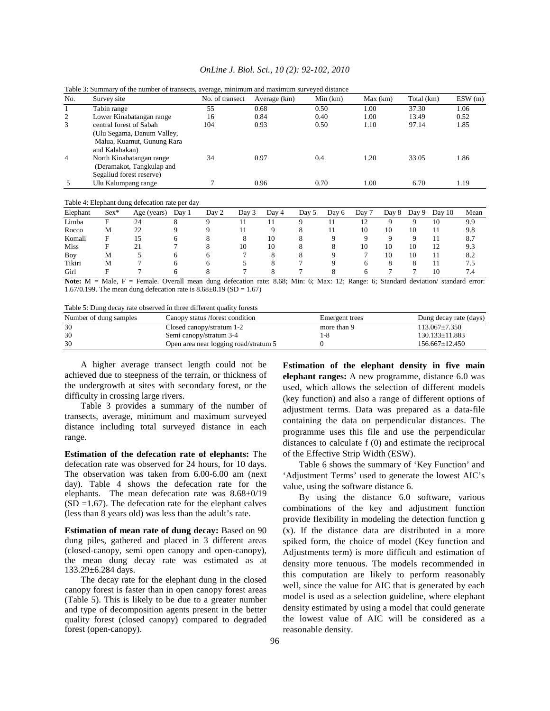| OnLine J. Biol. Sci., 10 (2): 92-102, 2010 |  |  |  |  |
|--------------------------------------------|--|--|--|--|
|--------------------------------------------|--|--|--|--|

| No.            | Survey site                | No. of transect | Average (km) | Min(km) | Max(km) | Total (km) | ESW(m) |
|----------------|----------------------------|-----------------|--------------|---------|---------|------------|--------|
|                | Tabin range                | 55              | 0.68         | 0.50    | 1.00    | 37.30      | 1.06   |
| 2              | Lower Kinabatangan range   | 16              | 0.84         | 0.40    | 1.00    | 13.49      | 0.52   |
| 3              | central forest of Sabah    | 104             | 0.93         | 0.50    | 1.10    | 97.14      | 1.85   |
|                | (Ulu Segama, Danum Valley, |                 |              |         |         |            |        |
|                | Malua, Kuamut, Gunung Rara |                 |              |         |         |            |        |
|                | and Kalabakan)             |                 |              |         |         |            |        |
| $\overline{4}$ | North Kinabatangan range   | 34              | 0.97         | 0.4     | 1.20    | 33.05      | 1.86   |
|                | (Deramakot, Tangkulap and  |                 |              |         |         |            |        |
|                | Segaliud forest reserve)   |                 |              |         |         |            |        |
|                | Ulu Kalumpang range        |                 | 0.96         | 0.70    | 1.00    | 6.70       | 1.19   |

Table 3: Summary of the number of transects, average, minimum and maximum surveyed distance

Table 4: Elephant dung defecation rate per day

| Elephant    | $Sex*$ | Age (years) | Day 1 | Day 2 | Day 3 | Day 4 | Day 5 | Day 6 | Day 7 | Day 8 | Day 9 | Day 10 | Mean |
|-------------|--------|-------------|-------|-------|-------|-------|-------|-------|-------|-------|-------|--------|------|
| Limba       | F      | 24          |       |       |       |       |       |       | 12    |       |       | 10     | 9.9  |
| Rocco       | M      | 22          |       |       |       |       |       |       | 10    | 10    | 10    |        | 9.8  |
| Komali      |        | 15          |       |       |       | 10    |       |       |       |       |       |        | 8.7  |
| <b>Miss</b> |        |             |       |       | 10    | 10    |       | ō     | 10    | 10    | 10    | 12     | 9.3  |
| Boy         | M      |             |       |       |       |       |       |       |       | 10    | 10    |        | 8.2  |
| Tikiri      | M      |             |       |       |       |       |       |       |       |       |       |        | 7.5  |
| Girl        |        |             |       |       |       |       |       |       |       |       |       | 10     | 7.4  |

Note:  $M = Male$ ,  $F = Female$ . Overall mean dung defecation rate: 8.68; Min: 6; Max: 12; Range: 6; Standard deviation/ standard error: 1.67/0.199. The mean dung defecation rate is  $8.68 \pm 0.19$  (SD = 1.67)

Table 5: Dung decay rate observed in three different quality forests

| Number of dung samples | Canopy status /forest condition       | Emergent trees | Dung decay rate (days) |
|------------------------|---------------------------------------|----------------|------------------------|
| 30                     | Closed canopy/stratum 1-2             | more than 9    | $113.067 \pm 7.350$    |
| 30                     | Semi canopy/stratum 3-4               | 1-8            | $130.133 \pm 11.883$   |
| 30                     | Open area near logging road/stratum 5 |                | $156.667+12.450$       |

 A higher average transect length could not be achieved due to steepness of the terrain, or thickness of the undergrowth at sites with secondary forest, or the difficulty in crossing large rivers.

 Table 3 provides a summary of the number of transects, average, minimum and maximum surveyed distance including total surveyed distance in each range.

**Estimation of the defecation rate of elephants:** The defecation rate was observed for 24 hours, for 10 days. The observation was taken from 6.00-6.00 am (next day). Table 4 shows the defecation rate for the elephants. The mean defecation rate was 8.68±0/19  $(SD = 1.67)$ . The defecation rate for the elephant calves (less than 8 years old) was less than the adult's rate. J

**Estimation of mean rate of dung decay:** Based on 90 dung piles, gathered and placed in 3 different areas (closed-canopy, semi open canopy and open-canopy), the mean dung decay rate was estimated as at 133.29±6.284 days.

 The decay rate for the elephant dung in the closed canopy forest is faster than in open canopy forest areas (Table 5). This is likely to be due to a greater number and type of decomposition agents present in the better quality forest (closed canopy) compared to degraded forest (open-canopy).

**Estimation of the elephant density in five main elephant ranges:** A new programme, distance 6.0 was used, which allows the selection of different models (key function) and also a range of different options of adjustment terms. Data was prepared as a data-file containing the data on perpendicular distances. The programme uses this file and use the perpendicular distances to calculate f (0) and estimate the reciprocal of the Effective Strip Width (ESW).

 Table 6 shows the summary of 'Key Function' and 'Adjustment Terms' used to generate the lowest AIC's value, using the software distance 6.

 By using the distance 6.0 software, various combinations of the key and adjustment function provide flexibility in modeling the detection function g (x). If the distance data are distributed in a more spiked form, the choice of model (Key function and Adjustments term) is more difficult and estimation of density more tenuous. The models recommended in this computation are likely to perform reasonably well, since the value for AIC that is generated by each model is used as a selection guideline, where elephant density estimated by using a model that could generate the lowest value of AIC will be considered as a reasonable density.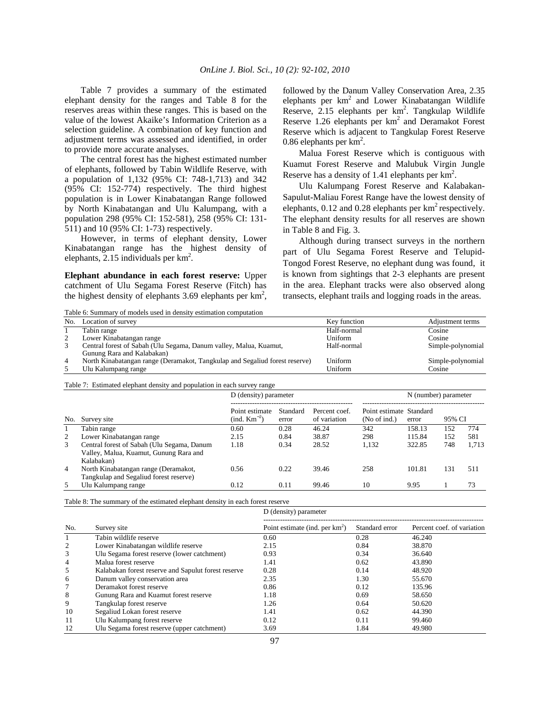Table 7 provides a summary of the estimated elephant density for the ranges and Table 8 for the reserves areas within these ranges. This is based on the value of the lowest Akaike's Information Criterion as a selection guideline. A combination of key function and adjustment terms was assessed and identified, in order to provide more accurate analyses.

 The central forest has the highest estimated number of elephants, followed by Tabin Wildlife Reserve, with a population of 1,132 (95% CI: 748-1,713) and 342 (95% CI: 152-774) respectively. The third highest population is in Lower Kinabatangan Range followed by North Kinabatangan and Ulu Kalumpang, with a population 298 (95% CI: 152-581), 258 (95% CI: 131- 511) and 10 (95% CI: 1-73) respectively.

 However, in terms of elephant density, Lower Kinabatangan range has the highest density of elephants,  $2.15$  individuals per  $km<sup>2</sup>$ .

**Elephant abundance in each forest reserve:** Upper catchment of Ulu Segama Forest Reserve (Fitch) has the highest density of elephants 3.69 elephants per  $km^2$ , followed by the Danum Valley Conservation Area, 2.35 elephants per  $km^2$  and Lower Kinabatangan Wildlife Reserve,  $2.15$  elephants per  $km^2$ . Tangkulap Wildlife Reserve  $1.26$  elephants per km<sup>2</sup> and Deramakot Forest Reserve which is adjacent to Tangkulap Forest Reserve 0.86 elephants per  $km^2$ .

 Malua Forest Reserve which is contiguous with Kuamut Forest Reserve and Malubuk Virgin Jungle Reserve has a density of 1.41 elephants per  $\text{km}^2$ .

 Ulu Kalumpang Forest Reserve and Kalabakan-Sapulut-Maliau Forest Range have the lowest density of elephants,  $0.12$  and  $0.28$  elephants per  $km^2$  respectively. The elephant density results for all reserves are shown in Table 8 and Fig. 3.

 Although during transect surveys in the northern part of Ulu Segama Forest Reserve and Telupid-Tongod Forest Reserve, no elephant dung was found, it is known from sightings that 2-3 elephants are present in the area. Elephant tracks were also observed along transects, elephant trails and logging roads in the areas.

Table 6: Summary of models used in density estimation computation

| Location of survey<br>No.  |                                                                             | Key function | Adjustment terms  |
|----------------------------|-----------------------------------------------------------------------------|--------------|-------------------|
| Tabin range                |                                                                             | Half-normal  | Cosine            |
| Lower Kinabatangan range   |                                                                             | Uniform      | Cosine            |
|                            | Central forest of Sabah (Ulu Segama, Danum valley, Malua, Kuamut,           | Half-normal  | Simple-polynomial |
| Gunung Rara and Kalabakan) |                                                                             |              |                   |
| $\overline{4}$             | North Kinabatangan range (Deramakot, Tangkulap and Segaliud forest reserve) | Uniform      | Simple-polynomial |
| Ulu Kalumpang range        |                                                                             | Uniform      | Cosine            |

#### Table 7: Estimated elephant density and population in each survey range

|                |                                            | D (density) parameter              |                   |                               |                                         | N (number) parameter |        |       |
|----------------|--------------------------------------------|------------------------------------|-------------------|-------------------------------|-----------------------------------------|----------------------|--------|-------|
| No.            | Survey site                                | Point estimate<br>$(ind. Km^{-2})$ | Standard<br>error | Percent coef.<br>of variation | Point estimate Standard<br>(No of ind.) | error                | 95% CI |       |
|                | Tabin range                                | 0.60                               | 0.28              | 46.24                         | 342                                     | 158.13               | 152    | 774   |
| 2              | Lower Kinabatangan range                   | 2.15                               | 0.84              | 38.87                         | 298                                     | 115.84               | 152    | 581   |
| 3              | Central forest of Sabah (Ulu Segama, Danum | 1.18                               | 0.34              | 28.52                         | 1,132                                   | 322.85               | 748    | 1.713 |
|                | Valley, Malua, Kuamut, Gunung Rara and     |                                    |                   |                               |                                         |                      |        |       |
|                | Kalabakan)                                 |                                    |                   |                               |                                         |                      |        |       |
| $\overline{4}$ | North Kinabatangan range (Deramakot,       | 0.56                               | 0.22              | 39.46                         | 258                                     | 101.81               | 131    | 511   |
|                | Tangkulap and Segaliud forest reserve)     |                                    |                   |                               |                                         |                      |        |       |
| 5.             | Ulu Kalumpang range                        | 0.12                               | 0.11              | 99.46                         | 10                                      | 9.95                 |        | 73    |

Table 8: The summary of the estimated elephant density in each forest reserve

D (density) parameter

| No. | Survey site                                         | Point estimate (ind. per $km^2$ ) | Standard error | Percent coef, of variation |
|-----|-----------------------------------------------------|-----------------------------------|----------------|----------------------------|
|     | Tabin wildlife reserve                              | 0.60                              | 0.28           | 46.240                     |
| 2   | Lower Kinabatangan wildlife reserve                 | 2.15                              | 0.84           | 38.870                     |
| 3   | Ulu Segama forest reserve (lower catchment)         | 0.93                              | 0.34           | 36.640                     |
| 4   | Malua forest reserve                                | 1.41                              | 0.62           | 43.890                     |
| 5   | Kalabakan forest reserve and Sapulut forest reserve | 0.28                              | 0.14           | 48.920                     |
| 6   | Danum valley conservation area                      | 2.35                              | 1.30           | 55.670                     |
|     | Deramakot forest reserve                            | 0.86                              | 0.12           | 135.96                     |
| 8   | Gunung Rara and Kuamut forest reserve               | 1.18                              | 0.69           | 58.650                     |
| 9   | Tangkulap forest reserve                            | 1.26                              | 0.64           | 50.620                     |
| 10  | Segaliud Lokan forest reserve                       | 1.41                              | 0.62           | 44.390                     |
| 11  | Ulu Kalumpang forest reserve                        | 0.12                              | 0.11           | 99.460                     |
| 12  | Ulu Segama forest reserve (upper catchment)         | 3.69                              | 1.84           | 49.980                     |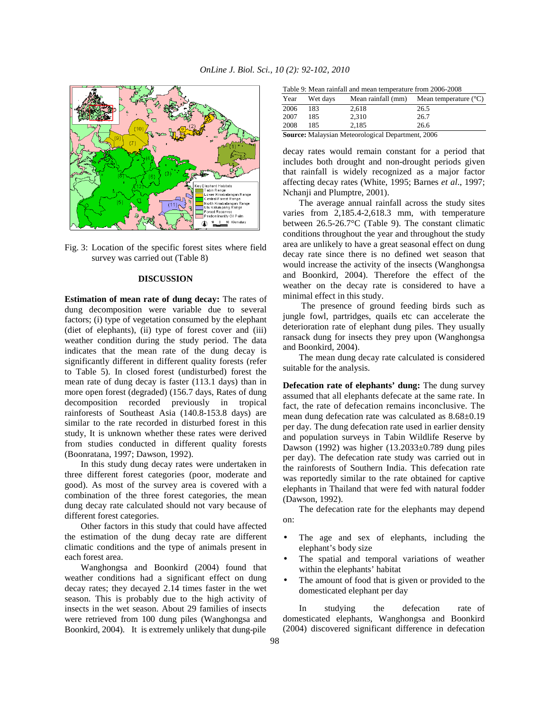



# **DISCUSSION**

**Estimation of mean rate of dung decay:** The rates of dung decomposition were variable due to several factors; (i) type of vegetation consumed by the elephant (diet of elephants), (ii) type of forest cover and (iii) weather condition during the study period. The data indicates that the mean rate of the dung decay is significantly different in different quality forests (refer to Table 5). In closed forest (undisturbed) forest the mean rate of dung decay is faster (113.1 days) than in more open forest (degraded) (156.7 days, Rates of dung decomposition recorded previously in tropical rainforests of Southeast Asia (140.8-153.8 days) are similar to the rate recorded in disturbed forest in this study, It is unknown whether these rates were derived from studies conducted in different quality forests (Boonratana, 1997; Dawson, 1992).

 In this study dung decay rates were undertaken in three different forest categories (poor, moderate and good). As most of the survey area is covered with a combination of the three forest categories, the mean dung decay rate calculated should not vary because of different forest categories.

Other factors in this study that could have affected the estimation of the dung decay rate are different climatic conditions and the type of animals present in each forest area.

Wanghongsa and Boonkird (2004) found that weather conditions had a significant effect on dung decay rates; they decayed 2.14 times faster in the wet season. This is probably due to the high activity of insects in the wet season. About 29 families of insects were retrieved from 100 dung piles (Wanghongsa and Boonkird, 2004). It is extremely unlikely that dung-pile

|      |          | Table 9: Mean rainfall and mean temperature from 2006-2008 |                                |
|------|----------|------------------------------------------------------------|--------------------------------|
| Year | Wet days | Mean rainfall (mm)                                         | Mean temperature $(^{\circ}C)$ |

| Year | Wet days | Mean rainfall (mm) | Mean temperature $(^{\circ}C)$ |
|------|----------|--------------------|--------------------------------|
| 2006 | 183      | 2.618              | 26.5                           |
| 2007 | 185      | 2.310              | 26.7                           |
| 2008 | 185      | 2.185              | 26.6                           |
|      |          |                    |                                |

**Source:** Malaysian Meteorological Department, 2006

decay rates would remain constant for a period that includes both drought and non-drought periods given that rainfall is widely recognized as a major factor affecting decay rates (White, 1995; Barnes *et al*., 1997; Nchanji and Plumptre, 2001).

The average annual rainfall across the study sites varies from 2,185.4-2,618.3 mm, with temperature between 26.5-26.7°C (Table 9). The constant climatic conditions throughout the year and throughout the study area are unlikely to have a great seasonal effect on dung decay rate since there is no defined wet season that would increase the activity of the insects (Wanghongsa and Boonkird, 2004). Therefore the effect of the weather on the decay rate is considered to have a minimal effect in this study.

 The presence of ground feeding birds such as jungle fowl, partridges, quails etc can accelerate the deterioration rate of elephant dung piles. They usually ransack dung for insects they prey upon (Wanghongsa and Boonkird, 2004).

 The mean dung decay rate calculated is considered suitable for the analysis.

**Defecation rate of elephants' dung:** The dung survey assumed that all elephants defecate at the same rate. In fact, the rate of defecation remains inconclusive. The mean dung defecation rate was calculated as 8.68±0.19 per day. The dung defecation rate used in earlier density and population surveys in Tabin Wildlife Reserve by Dawson (1992) was higher (13.2033±0.789 dung piles per day). The defecation rate study was carried out in the rainforests of Southern India. This defecation rate was reportedly similar to the rate obtained for captive elephants in Thailand that were fed with natural fodder (Dawson, 1992).

The defecation rate for the elephants may depend on:

- The age and sex of elephants, including the elephant's body size
- The spatial and temporal variations of weather within the elephants' habitat
- The amount of food that is given or provided to the domesticated elephant per day

 In studying the defecation rate of domesticated elephants, Wanghongsa and Boonkird (2004) discovered significant difference in defecation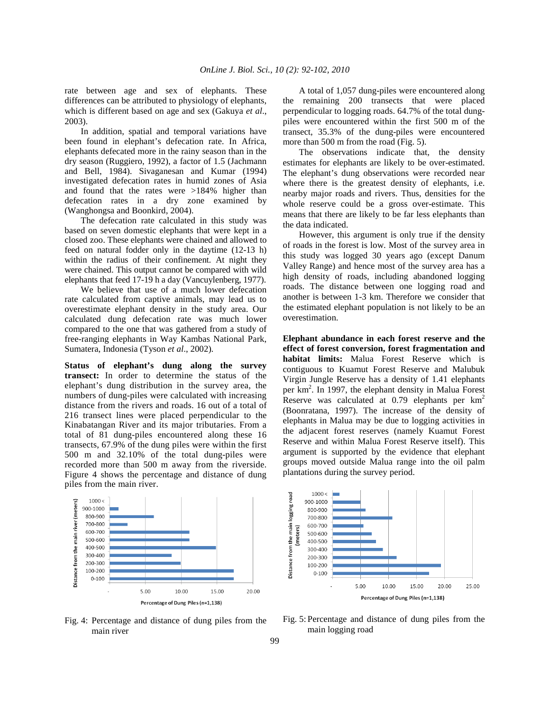rate between age and sex of elephants. These differences can be attributed to physiology of elephants, which is different based on age and sex (Gakuya *et al*., 2003).

 In addition, spatial and temporal variations have been found in elephant's defecation rate. In Africa, elephants defecated more in the rainy season than in the dry season (Ruggiero, 1992), a factor of 1.5 (Jachmann and Bell, 1984). Sivaganesan and Kumar (1994) investigated defecation rates in humid zones of Asia and found that the rates were >184% higher than defecation rates in a dry zone examined by (Wanghongsa and Boonkird, 2004).

 The defecation rate calculated in this study was based on seven domestic elephants that were kept in a closed zoo. These elephants were chained and allowed to feed on natural fodder only in the daytime (12-13 h) within the radius of their confinement. At night they were chained. This output cannot be compared with wild elephants that feed 17-19 h a day (Vancuylenberg, 1977).

 We believe that use of a much lower defecation rate calculated from captive animals, may lead us to overestimate elephant density in the study area. Our calculated dung defecation rate was much lower compared to the one that was gathered from a study of free-ranging elephants in Way Kambas National Park, Sumatera, Indonesia (Tyson *et al*., 2002).

**Status of elephant's dung along the survey transect:** In order to determine the status of the elephant's dung distribution in the survey area, the numbers of dung-piles were calculated with increasing distance from the rivers and roads. 16 out of a total of 216 transect lines were placed perpendicular to the Kinabatangan River and its major tributaries. From a total of 81 dung-piles encountered along these 16 transects, 67.9% of the dung piles were within the first 500 m and 32.10% of the total dung-piles were recorded more than 500 m away from the riverside. Figure 4 shows the percentage and distance of dung piles from the main river.



 A total of 1,057 dung-piles were encountered along the remaining 200 transects that were placed perpendicular to logging roads. 64.7% of the total dungpiles were encountered within the first 500 m of the transect, 35.3% of the dung-piles were encountered more than 500 m from the road (Fig. 5).

 The observations indicate that, the density estimates for elephants are likely to be over-estimated. The elephant's dung observations were recorded near where there is the greatest density of elephants, i.e. nearby major roads and rivers. Thus, densities for the whole reserve could be a gross over-estimate. This means that there are likely to be far less elephants than the data indicated.

 However, this argument is only true if the density of roads in the forest is low. Most of the survey area in this study was logged 30 years ago (except Danum Valley Range) and hence most of the survey area has a high density of roads, including abandoned logging roads. The distance between one logging road and another is between 1-3 km. Therefore we consider that the estimated elephant population is not likely to be an overestimation.

**Elephant abundance in each forest reserve and the effect of forest conversion, forest fragmentation and habitat limits:** Malua Forest Reserve which is contiguous to Kuamut Forest Reserve and Malubuk Virgin Jungle Reserve has a density of 1.41 elephants per km<sup>2</sup>. In 1997, the elephant density in Malua Forest Reserve was calculated at  $0.79$  elephants per  $km<sup>2</sup>$ (Boonratana, 1997). The increase of the density of elephants in Malua may be due to logging activities in the adjacent forest reserves (namely Kuamut Forest Reserve and within Malua Forest Reserve itself). This argument is supported by the evidence that elephant groups moved outside Malua range into the oil palm plantations during the survey period.



Fig. 4: Percentage and distance of dung piles from the main river

Fig. 5: Percentage and distance of dung piles from the main logging road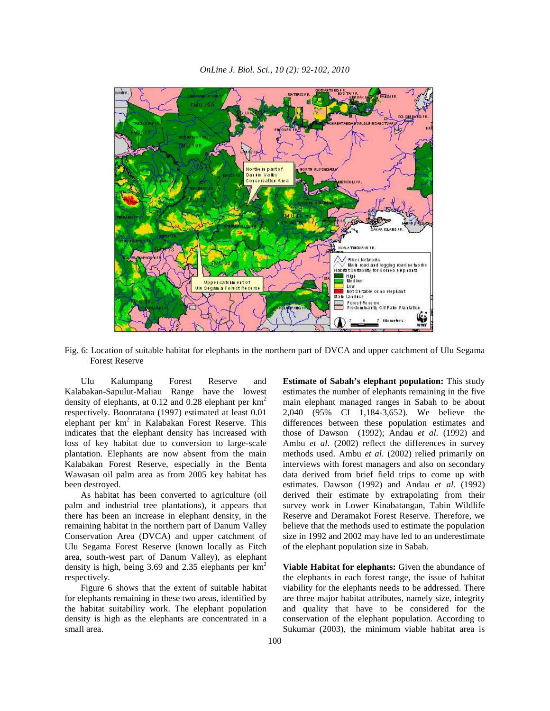

*OnLine J. Biol. Sci., 10 (2): 92-102, 2010* 

Fig. 6: Location of suitable habitat for elephants in the northern part of DVCA and upper catchment of Ulu Segama Forest Reserve

 Ulu Kalumpang Forest Reserve and Kalabakan-Sapulut-Maliau Range have the lowest density of elephants, at  $0.12$  and  $0.28$  elephant per  $km^2$ respectively. Boonratana (1997) estimated at least 0.01 elephant per  $km^2$  in Kalabakan Forest Reserve. This indicates that the elephant density has increased with loss of key habitat due to conversion to large-scale plantation. Elephants are now absent from the main Kalabakan Forest Reserve, especially in the Benta Wawasan oil palm area as from 2005 key habitat has been destroyed.

 As habitat has been converted to agriculture (oil palm and industrial tree plantations), it appears that there has been an increase in elephant density, in the remaining habitat in the northern part of Danum Valley Conservation Area (DVCA) and upper catchment of Ulu Segama Forest Reserve (known locally as Fitch area, south-west part of Danum Valley), as elephant density is high, being  $3.69$  and  $2.35$  elephants per  $km<sup>2</sup>$ respectively.

 Figure 6 shows that the extent of suitable habitat for elephants remaining in these two areas, identified by the habitat suitability work. The elephant population density is high as the elephants are concentrated in a small area.

**Estimate of Sabah's elephant population:** This study estimates the number of elephants remaining in the five main elephant managed ranges in Sabah to be about 2,040 (95% CI 1,184-3,652). We believe the differences between these population estimates and those of Dawson (1992); Andau *et al*. (1992) and Ambu *et al*. (2002) reflect the differences in survey methods used. Ambu *et al*. (2002) relied primarily on interviews with forest managers and also on secondary data derived from brief field trips to come up with estimates. Dawson (1992) and Andau *et al*. (1992) derived their estimate by extrapolating from their survey work in Lower Kinabatangan, Tabin Wildlife Reserve and Deramakot Forest Reserve. Therefore, we believe that the methods used to estimate the population size in 1992 and 2002 may have led to an underestimate of the elephant population size in Sabah.

**Viable Habitat for elephants:** Given the abundance of the elephants in each forest range, the issue of habitat viability for the elephants needs to be addressed. There are three major habitat attributes, namely size, integrity and quality that have to be considered for the conservation of the elephant population. According to Sukumar (2003), the minimum viable habitat area is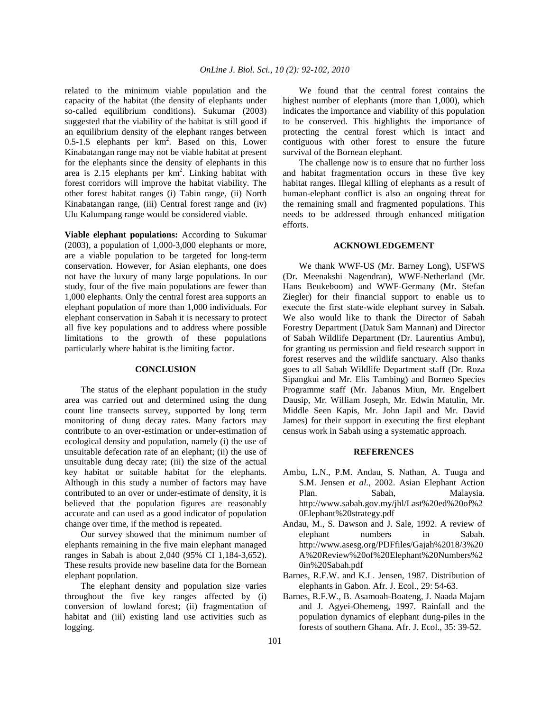related to the minimum viable population and the capacity of the habitat (the density of elephants under so-called equilibrium conditions). Sukumar (2003) suggested that the viability of the habitat is still good if an equilibrium density of the elephant ranges between  $0.5 - 1.5$  elephants per  $km^2$ . Based on this, Lower Kinabatangan range may not be viable habitat at present for the elephants since the density of elephants in this area is  $2.15$  elephants per  $km^2$ . Linking habitat with forest corridors will improve the habitat viability. The other forest habitat ranges (i) Tabin range, (ii) North Kinabatangan range, (iii) Central forest range and (iv) Ulu Kalumpang range would be considered viable.

**Viable elephant populations:** According to Sukumar (2003), a population of 1,000-3,000 elephants or more, are a viable population to be targeted for long-term conservation. However, for Asian elephants, one does not have the luxury of many large populations. In our study, four of the five main populations are fewer than 1,000 elephants. Only the central forest area supports an elephant population of more than 1,000 individuals. For elephant conservation in Sabah it is necessary to protect all five key populations and to address where possible limitations to the growth of these populations particularly where habitat is the limiting factor.

## **CONCLUSION**

 The status of the elephant population in the study area was carried out and determined using the dung count line transects survey, supported by long term monitoring of dung decay rates. Many factors may contribute to an over-estimation or under-estimation of ecological density and population, namely (i) the use of unsuitable defecation rate of an elephant; (ii) the use of unsuitable dung decay rate; (iii) the size of the actual key habitat or suitable habitat for the elephants. Although in this study a number of factors may have contributed to an over or under-estimate of density, it is believed that the population figures are reasonably accurate and can used as a good indicator of population change over time, if the method is repeated.

 Our survey showed that the minimum number of elephants remaining in the five main elephant managed ranges in Sabah is about 2,040 (95% CI 1,184-3,652). These results provide new baseline data for the Bornean elephant population.

 The elephant density and population size varies throughout the five key ranges affected by (i) conversion of lowland forest; (ii) fragmentation of habitat and (iii) existing land use activities such as logging.

 We found that the central forest contains the highest number of elephants (more than 1,000), which indicates the importance and viability of this population to be conserved. This highlights the importance of protecting the central forest which is intact and contiguous with other forest to ensure the future survival of the Bornean elephant.

 The challenge now is to ensure that no further loss and habitat fragmentation occurs in these five key habitat ranges. Illegal killing of elephants as a result of human-elephant conflict is also an ongoing threat for the remaining small and fragmented populations. This needs to be addressed through enhanced mitigation efforts.

### **ACKNOWLEDGEMENT**

 We thank WWF-US (Mr. Barney Long), USFWS (Dr. Meenakshi Nagendran), WWF-Netherland (Mr. Hans Beukeboom) and WWF-Germany (Mr. Stefan Ziegler) for their financial support to enable us to execute the first state-wide elephant survey in Sabah. We also would like to thank the Director of Sabah Forestry Department (Datuk Sam Mannan) and Director of Sabah Wildlife Department (Dr. Laurentius Ambu), for granting us permission and field research support in forest reserves and the wildlife sanctuary. Also thanks goes to all Sabah Wildlife Department staff (Dr. Roza Sipangkui and Mr. Elis Tambing) and Borneo Species Programme staff (Mr. Jabanus Miun, Mr. Engelbert Dausip, Mr. William Joseph, Mr. Edwin Matulin, Mr. Middle Seen Kapis, Mr. John Japil and Mr. David James) for their support in executing the first elephant census work in Sabah using a systematic approach.

### **REFERENCES**

- Ambu, L.N., P.M. Andau, S. Nathan, A. Tuuga and S.M. Jensen *et al*., 2002. Asian Elephant Action Plan. Sabah, Malaysia. http://www.sabah.gov.my/jhl/Last%20ed%20of%2 0Elephant%20strategy.pdf
- Andau, M., S. Dawson and J. Sale, 1992. A review of elephant numbers in Sabah. http://www.asesg.org/PDFfiles/Gajah%2018/3%20 A%20Review%20of%20Elephant%20Numbers%2 0in%20Sabah.pdf
- Barnes, R.F.W. and K.L. Jensen, 1987. Distribution of elephants in Gabon. Afr. J. Ecol., 29: 54-63.
- Barnes, R.F.W., B. Asamoah-Boateng, J. Naada Majam and J. Agyei-Ohemeng, 1997. Rainfall and the population dynamics of elephant dung-piles in the forests of southern Ghana. Afr. J. Ecol., 35: 39-52.